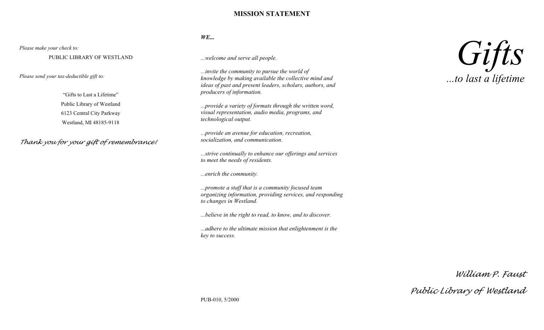#### **MISSION STATEMENT**

#### *Please make your check to:*

PUBLIC LIBRARY OF WESTLAND

*Please send your tax-deductible gift to:*

"Gifts to Last a Lifetime" Public Library of Westland 6123 Central City Parkway Westland, MI 48185-9118

*Thank you for your gift of remembrance!*

#### *WE...*

*...welcome and serve all people.*

*...invite the community to pursue the world of knowledge by making available the collective mind and ideas of past and present leaders, scholars, authors, and producers of information.*

*...provide a variety of formats through the written word, visual representation, audio media, programs, and technological output.*

*...provide an avenue for education, recreation, socialization, and communication.*

*...strive continually to enhance our offerings and services to meet the needs of residents.*

*...enrich the community.*

*...promote a staff that is a community focused team organizing information, providing services, and responding to changes in Westland.*

*...believe in the right to read, to know, and to discover.*

*...adhere to the ultimate mission that enlightenment is the key to success.*



*William P. Faust*

*Public Library of Westland*